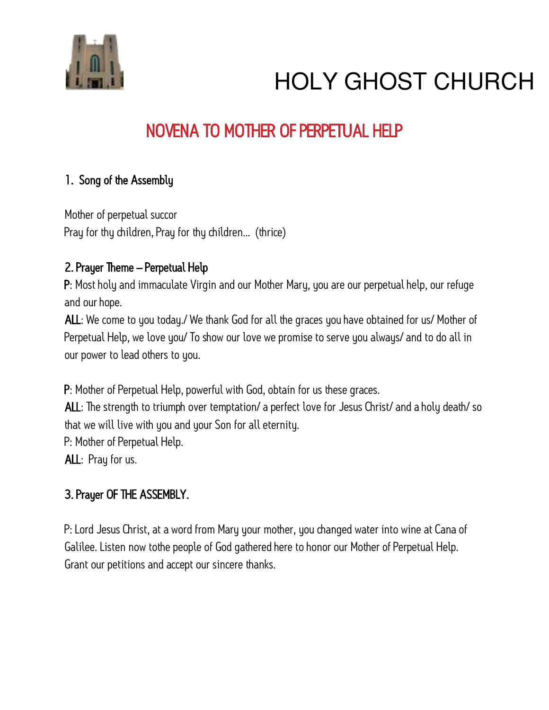

### NOVENA TO MOTHER OF PERPETUAL HELP

#### 1. Song of the Assembly

Mother of perpetual succor Pray for thy children, Pray for thy children… (thrice)

#### 2. Prayer Theme – Perpetual Help

P: Most holy and immaculate Virgin and our Mother Mary, you are our perpetual help, our refuge and our hope.

ALL: We come to you today./ We thank God for all the graces you have obtained for us/ Mother of Perpetual Help, we love you/ To show our love we promise to serve you always/ and to do all in our power to lead others to you.

P: Mother of Perpetual Help, powerful with God, obtain for us these graces.

ALL: The strength to triumph over temptation/ a perfect love for Jesus Christ/ and a holy death/ so that we will live with you and your Son for all eternity.

P: Mother of Perpetual Help.

ALL: Pray for us.

#### 3. Prayer OF THE ASSEMBLY.

P: Lord Jesus Christ, at a word from Mary your mother, you changed water into wine at Cana of Galilee. Listen now tothe people of God gathered here to honor our Mother of Perpetual Help. Grant our petitions and accept our sincere thanks.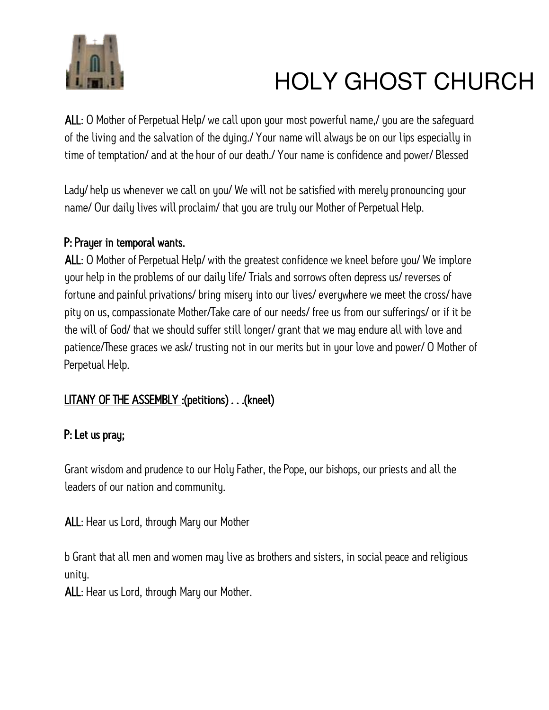

ALL: O Mother of Perpetual Help/ we call upon your most powerful name,/ you are the safeguard of the living and the salvation of the dying./ Your name will always be on our lips especially in time of temptation/ and at the hour of our death./ Your name is confidence and power/ Blessed

Lady/ help us whenever we call on you/ We will not be satisfied with merely pronouncing your name/ Our daily lives will proclaim/ that you are truly our Mother of Perpetual Help.

#### P: Prayer in temporal wants.

ALL: O Mother of Perpetual Help/ with the greatest confidence we kneel before you/ We implore your help in the problems of our daily life/ Trials and sorrows often depress us/ reverses of fortune and painful privations/ bring misery into our lives/ everywhere we meet the cross/ have pity on us, compassionate Mother/Take care of our needs/ free us from our sufferings/ or if it be the will of God/ that we should suffer still longer/ grant that we may endure all with love and patience/These graces we ask/ trusting not in our merits but in your love and power/ O Mother of Perpetual Help.

#### LITANY OF THE ASSEMBLY :(petitions) . . .(kneel)

#### P: Let us pray;

Grant wisdom and prudence to our Holy Father, the Pope, our bishops, our priests and all the leaders of our nation and community.

ALL: Hear us Lord, through Mary our Mother

b Grant that all men and women may live as brothers and sisters, in social peace and religious unity.

ALL: Hear us Lord, through Mary our Mother.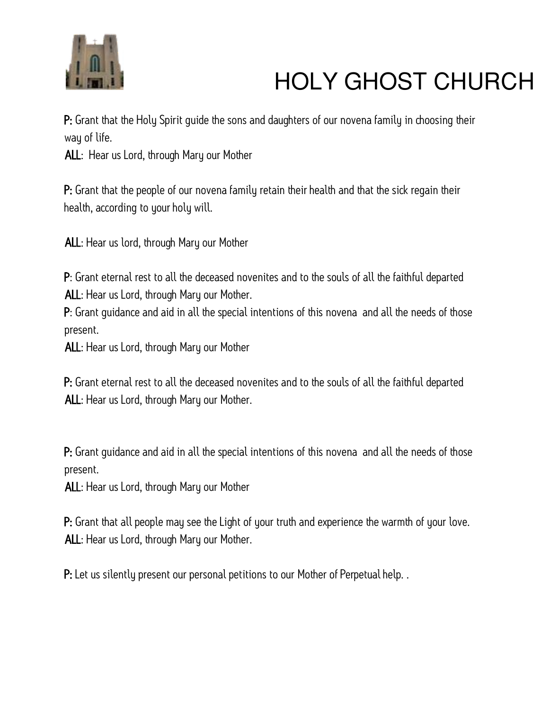

P: Grant that the Holy Spirit quide the sons and daughters of our novena family in choosing their way of life.

ALL: Hear us Lord, through Mary our Mother

P: Grant that the people of our novena family retain their health and that the sick regain their health, according to your holy will.

ALL: Hear us lord, through Mary our Mother

P: Grant eternal rest to all the deceased novenites and to the souls of all the faithful departed ALL: Hear us Lord, through Mary our Mother.

P: Grant guidance and aid in all the special intentions of this novena and all the needs of those present.

ALL: Hear us Lord, through Mary our Mother

P: Grant eternal rest to all the deceased novenites and to the souls of all the faithful departed ALL: Hear us Lord, through Mary our Mother.

P: Grant guidance and aid in all the special intentions of this novena and all the needs of those present.

ALL: Hear us Lord, through Mary our Mother

P: Grant that all people may see the Light of your truth and experience the warmth of your love. ALL: Hear us Lord, through Mary our Mother.

P: Let us silently present our personal petitions to our Mother of Perpetual help. .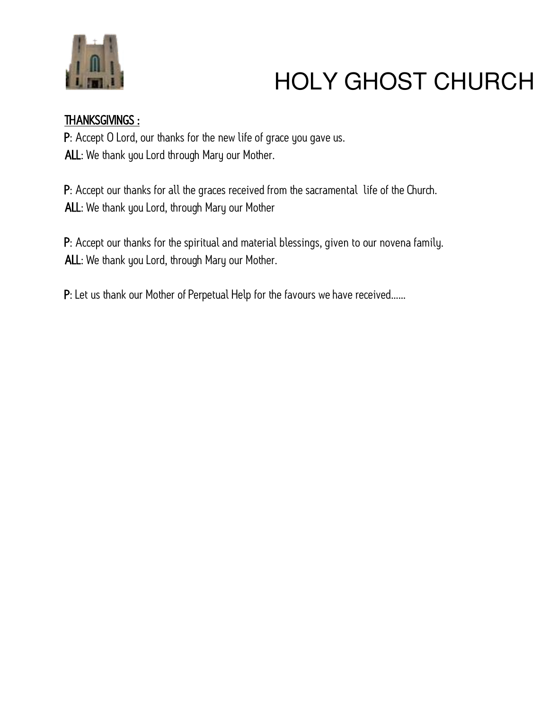

#### THANKSGIVINGS :

P: Accept O Lord, our thanks for the new life of grace you gave us. ALL: We thank you Lord through Mary our Mother.

P: Accept our thanks for all the graces received from the sacramental life of the Church. ALL: We thank you Lord, through Mary our Mother

P: Accept our thanks for the spiritual and material blessings, given to our novena family. ALL: We thank you Lord, through Mary our Mother.

P: Let us thank our Mother of Perpetual Help for the favours we have received……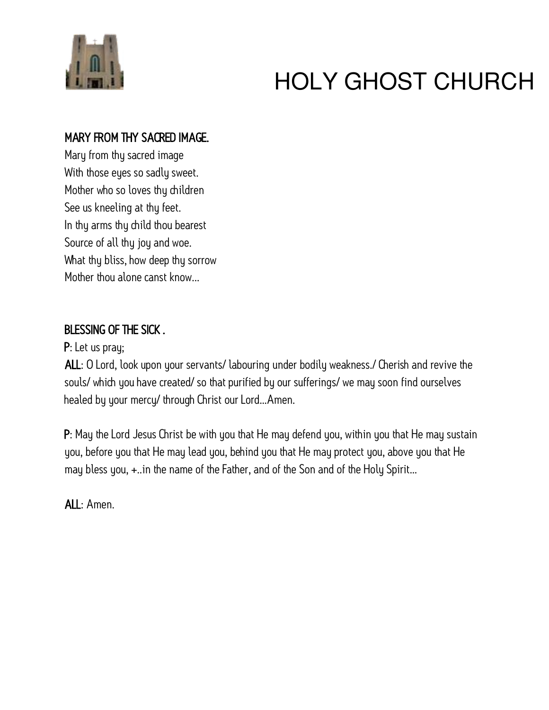

#### MARY FROM THY SACRED IMAGE.

Mary from thy sacred image With those eyes so sadly sweet. Mother who so loves thy children See us kneeling at thy feet. In thy arms thy child thou bearest Source of all thy joy and woe. What thy bliss, how deep thy sorrow Mother thou alone canst know...

#### BLESSING OF THE SICK .

P: Let us pray;

ALL: O Lord, look upon your servants/ labouring under bodily weakness./ Cherish and revive the souls/ which you have created/ so that purified by our sufferings/ we may soon find ourselves healed by your mercy/ through Christ our Lord…Amen.

P: May the Lord Jesus Christ be with you that He may defend you, within you that He may sustain you, before you that He may lead you, behind you that He may protect you, above you that He may bless you, +..in the name of the Father, and of the Son and of the Holy Spirit…

ALL: Amen.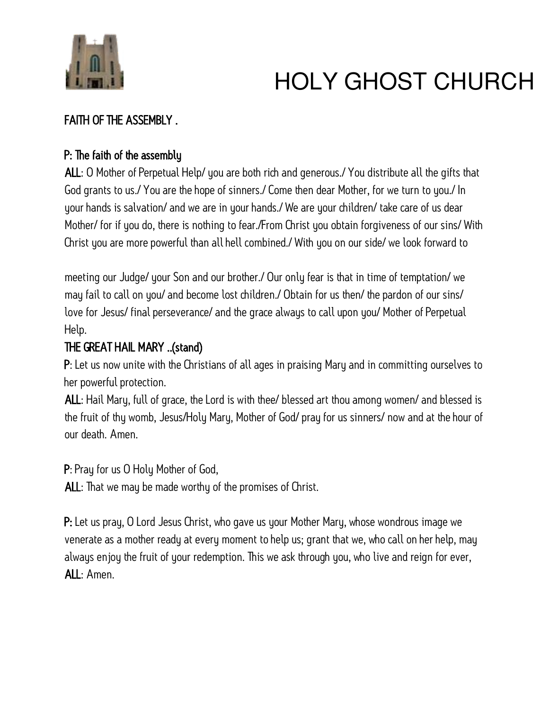

#### FAITH OF THE ASSEMBLY .

#### P: The faith of the assembly

ALL: O Mother of Perpetual Help/ you are both rich and generous./ You distribute all the gifts that God grants to us./ You are the hope of sinners./ Come then dear Mother, for we turn to you./ In your hands is salvation/ and we are in your hands./ We are your children/ take care of us dear Mother/ for if you do, there is nothing to fear./From Christ you obtain forgiveness of our sins/ With Christ you are more powerful than all hell combined./ With you on our side/ we look forward to

meeting our Judge/ your Son and our brother./ Our only fear is that in time of temptation/ we may fail to call on you/ and become lost children./ Obtain for us then/ the pardon of our sins/ love for Jesus/ final perseverance/ and the grace always to call upon you/ Mother of Perpetual Help.

#### THE GREAT HAIL MARY ..(stand)

P: Let us now unite with the Christians of all ages in praising Mary and in committing ourselves to her powerful protection.

ALL: Hail Mary, full of grace, the Lord is with thee/ blessed art thou among women/ and blessed is the fruit of thy womb, Jesus/Holy Mary, Mother of God/ pray for us sinners/ now and at the hour of our death. Amen.

P: Pray for us O Holy Mother of God,

ALL: That we may be made worthy of the promises of Christ.

P: Let us pray, O Lord Jesus Christ, who gave us your Mother Mary, whose wondrous image we venerate as a mother ready at every moment to help us; grant that we, who call on her help, may always enjoy the fruit of your redemption. This we ask through you, who live and reign for ever, ALL: Amen.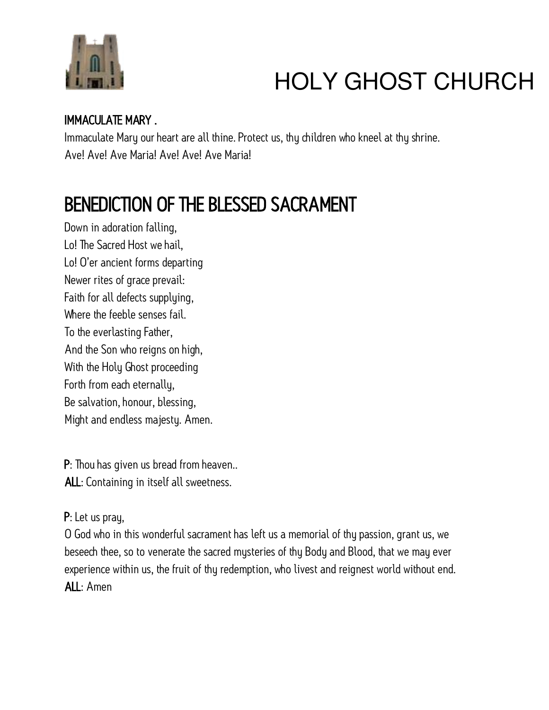

#### IMMACULATE MARY .

Immaculate Mary our heart are all thine. Protect us, thy children who kneel at thy shrine. Ave! Ave! Ave Maria! Ave! Ave! Ave Maria!

### BENEDICTION OF THE BLESSED SACRAMENT

Down in adoration falling, Lo! The Sacred Host we hail, Lo! O'er ancient forms departing Newer rites of grace prevail: Faith for all defects supplying, Where the feeble senses fail. To the everlasting Father, And the Son who reigns on high, With the Holy Ghost proceeding Forth from each eternally, Be salvation, honour, blessing, Might and endless majesty. Amen.

P: Thou has given us bread from heaven.. ALL: Containing in itself all sweetness.

#### P: Let us pray,

O God who in this wonderful sacrament has left us a memorial of thy passion, grant us, we beseech thee, so to venerate the sacred mysteries of thy Body and Blood, that we may ever experience within us, the fruit of thy redemption, who livest and reignest world without end. ALL: Amen